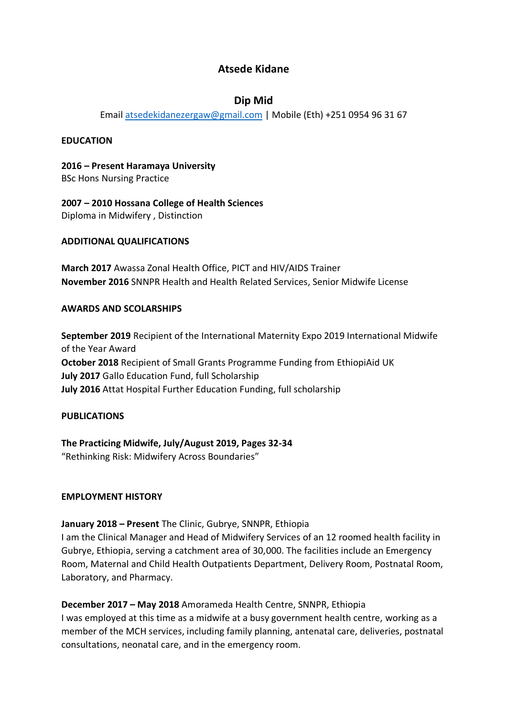# **Atsede Kidane**

# **Dip Mid**

Emai[l atsedekidanezergaw@gmail.com](mailto:atsedekidanezergaw@gmail.com) | Mobile (Eth) +251 0954 96 31 67

### **EDUCATION**

**2016 – Present Haramaya University** BSc Hons Nursing Practice

**2007 – 2010 Hossana College of Health Sciences** Diploma in Midwifery , Distinction

### **ADDITIONAL QUALIFICATIONS**

**March 2017** Awassa Zonal Health Office, PICT and HIV/AIDS Trainer **November 2016** SNNPR Health and Health Related Services, Senior Midwife License

### **AWARDS AND SCOLARSHIPS**

**September 2019** Recipient of the International Maternity Expo 2019 International Midwife of the Year Award **October 2018** Recipient of Small Grants Programme Funding from EthiopiAid UK **July 2017** Gallo Education Fund, full Scholarship **July 2016** Attat Hospital Further Education Funding, full scholarship

## **PUBLICATIONS**

**The Practicing Midwife, July/August 2019, Pages 32-34** "Rethinking Risk: Midwifery Across Boundaries"

#### **EMPLOYMENT HISTORY**

**January 2018 – Present** The Clinic, Gubrye, SNNPR, Ethiopia

I am the Clinical Manager and Head of Midwifery Services of an 12 roomed health facility in Gubrye, Ethiopia, serving a catchment area of 30,000. The facilities include an Emergency Room, Maternal and Child Health Outpatients Department, Delivery Room, Postnatal Room, Laboratory, and Pharmacy.

**December 2017 – May 2018** Amorameda Health Centre, SNNPR, Ethiopia I was employed at this time as a midwife at a busy government health centre, working as a member of the MCH services, including family planning, antenatal care, deliveries, postnatal consultations, neonatal care, and in the emergency room.